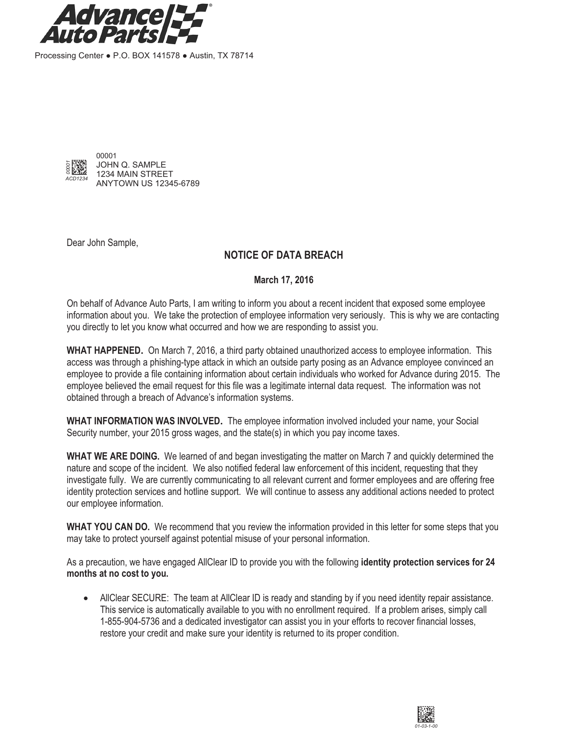

Processing Center ● P.O. BOX 141578 ● Austin, TX 78714



Dear John Sample,

## **NOTICE OF DATA BREACH**

## **March 17, 2016**

On behalf of Advance Auto Parts, I am writing to inform you about a recent incident that exposed some employee information about you. We take the protection of employee information very seriously. This is why we are contacting you directly to let you know what occurred and how we are responding to assist you.

**WHAT HAPPENED.** On March 7, 2016, a third party obtained unauthorized access to employee information. This access was through a phishing-type attack in which an outside party posing as an Advance employee convinced an employee to provide a file containing information about certain individuals who worked for Advance during 2015. The employee believed the email request for this file was a legitimate internal data request. The information was not obtained through a breach of Advance's information systems.

**WHAT INFORMATION WAS INVOLVED.** The employee information involved included your name, your Social Security number, your 2015 gross wages, and the state(s) in which you pay income taxes.

**WHAT WE ARE DOING.** We learned of and began investigating the matter on March 7 and quickly determined the nature and scope of the incident. We also notified federal law enforcement of this incident, requesting that they investigate fully. We are currently communicating to all relevant current and former employees and are offering free identity protection services and hotline support. We will continue to assess any additional actions needed to protect our employee information.

**WHAT YOU CAN DO.** We recommend that you review the information provided in this letter for some steps that you may take to protect yourself against potential misuse of your personal information.

As a precaution, we have engaged AllClear ID to provide you with the following **identity protection services for 24 months at no cost to you.**

AllClear SECURE: The team at AllClear ID is ready and standing by if you need identity repair assistance. This service is automatically available to you with no enrollment required. If a problem arises, simply call 1-855-904-5736 and a dedicated investigator can assist you in your efforts to recover financial losses, restore your credit and make sure your identity is returned to its proper condition.

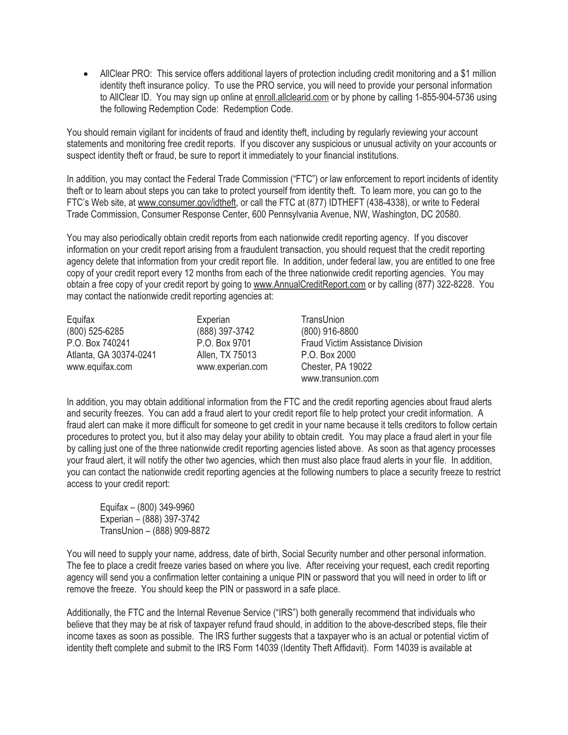AllClear PRO: This service offers additional layers of protection including credit monitoring and a \$1 million identity theft insurance policy. To use the PRO service, you will need to provide your personal information to AllClear ID. You may sign up online at enroll.allclearid.com or by phone by calling 1-855-904-5736 using the following Redemption Code: Redemption Code.

You should remain vigilant for incidents of fraud and identity theft, including by regularly reviewing your account statements and monitoring free credit reports. If you discover any suspicious or unusual activity on your accounts or suspect identity theft or fraud, be sure to report it immediately to your financial institutions.

In addition, you may contact the Federal Trade Commission ("FTC") or law enforcement to report incidents of identity theft or to learn about steps you can take to protect yourself from identity theft. To learn more, you can go to the FTC's Web site, at www.consumer.gov/idtheft, or call the FTC at (877) IDTHEFT (438-4338), or write to Federal Trade Commission, Consumer Response Center, 600 Pennsylvania Avenue, NW, Washington, DC 20580.

You may also periodically obtain credit reports from each nationwide credit reporting agency. If you discover information on your credit report arising from a fraudulent transaction, you should request that the credit reporting agency delete that information from your credit report file. In addition, under federal law, you are entitled to one free copy of your credit report every 12 months from each of the three nationwide credit reporting agencies. You may obtain a free copy of your credit report by going to www.AnnualCreditReport.com or by calling (877) 322-8228. You may contact the nationwide credit reporting agencies at:

| Equifax                | Experian         | TransUnion                              |
|------------------------|------------------|-----------------------------------------|
| (800) 525-6285         | (888) 397-3742   | (800) 916-8800                          |
| P.O. Box 740241        | P.O. Box 9701    | <b>Fraud Victim Assistance Division</b> |
| Atlanta, GA 30374-0241 | Allen, TX 75013  | P.O. Box 2000                           |
| www.equifax.com        | www.experian.com | Chester, PA 19022                       |
|                        |                  | www.transunion.com                      |

In addition, you may obtain additional information from the FTC and the credit reporting agencies about fraud alerts and security freezes. You can add a fraud alert to your credit report file to help protect your credit information. A fraud alert can make it more difficult for someone to get credit in your name because it tells creditors to follow certain procedures to protect you, but it also may delay your ability to obtain credit. You may place a fraud alert in your file by calling just one of the three nationwide credit reporting agencies listed above. As soon as that agency processes your fraud alert, it will notify the other two agencies, which then must also place fraud alerts in your file. In addition, you can contact the nationwide credit reporting agencies at the following numbers to place a security freeze to restrict access to your credit report:

Equifax – (800) 349-9960 Experian – (888) 397-3742 TransUnion – (888) 909-8872

You will need to supply your name, address, date of birth, Social Security number and other personal information. The fee to place a credit freeze varies based on where you live. After receiving your request, each credit reporting agency will send you a confirmation letter containing a unique PIN or password that you will need in order to lift or remove the freeze. You should keep the PIN or password in a safe place.

Additionally, the FTC and the Internal Revenue Service ("IRS") both generally recommend that individuals who believe that they may be at risk of taxpayer refund fraud should, in addition to the above-described steps, file their income taxes as soon as possible. The IRS further suggests that a taxpayer who is an actual or potential victim of identity theft complete and submit to the IRS Form 14039 (Identity Theft Affidavit). Form 14039 is available at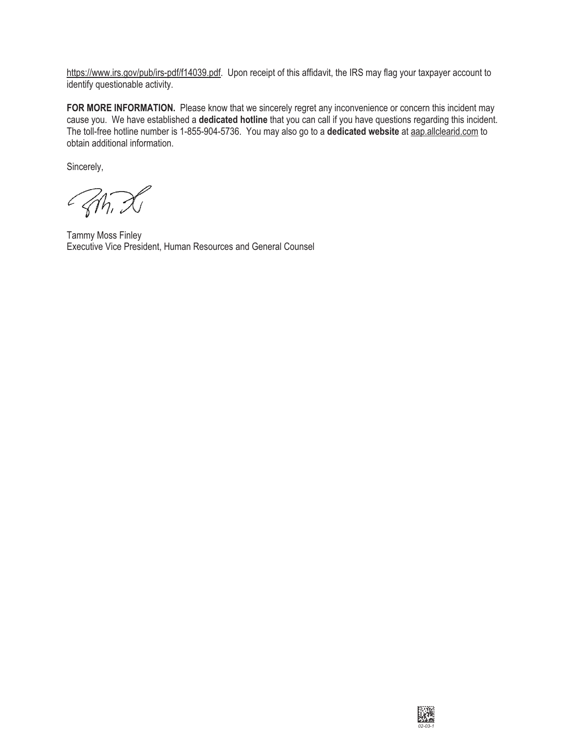https://www.irs.gov/pub/irs-pdf/f14039.pdf. Upon receipt of this affidavit, the IRS may flag your taxpayer account to identify questionable activity.

FOR MORE INFORMATION. Please know that we sincerely regret any inconvenience or concern this incident may cause you. We have established a **dedicated hotline** that you can call if you have questions regarding this incident. The toll-free hotline number is 1-855-904-5736. You may also go to a **dedicated website** at aap.allclearid.com to obtain additional information.

Sincerely,

 $\mathscr{D}$ 

Tammy Moss Finley Executive Vice President, Human Resources and General Counsel